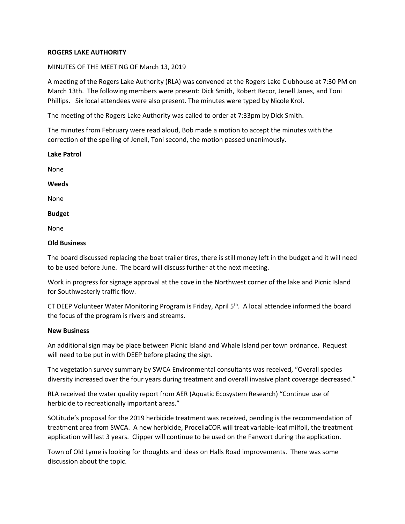## **ROGERS LAKE AUTHORITY**

## MINUTES OF THE MEETING OF March 13, 2019

A meeting of the Rogers Lake Authority (RLA) was convened at the Rogers Lake Clubhouse at 7:30 PM on March 13th. The following members were present: Dick Smith, Robert Recor, Jenell Janes, and Toni Phillips. Six local attendees were also present. The minutes were typed by Nicole Krol.

The meeting of the Rogers Lake Authority was called to order at 7:33pm by Dick Smith.

The minutes from February were read aloud, Bob made a motion to accept the minutes with the correction of the spelling of Jenell, Toni second, the motion passed unanimously.

| Lake Patrol   |  |
|---------------|--|
| None          |  |
| Weeds         |  |
| None          |  |
| <b>Budget</b> |  |
| None          |  |

## **Old Business**

The board discussed replacing the boat trailer tires, there is still money left in the budget and it will need to be used before June. The board will discuss further at the next meeting.

Work in progress for signage approval at the cove in the Northwest corner of the lake and Picnic Island for Southwesterly traffic flow.

CT DEEP Volunteer Water Monitoring Program is Friday, April 5<sup>th</sup>. A local attendee informed the board the focus of the program is rivers and streams.

## **New Business**

An additional sign may be place between Picnic Island and Whale Island per town ordnance. Request will need to be put in with DEEP before placing the sign.

The vegetation survey summary by SWCA Environmental consultants was received, "Overall species diversity increased over the four years during treatment and overall invasive plant coverage decreased."

RLA received the water quality report from AER (Aquatic Ecosystem Research) "Continue use of herbicide to recreationally important areas."

SOLitude's proposal for the 2019 herbicide treatment was received, pending is the recommendation of treatment area from SWCA. A new herbicide, ProcellaCOR will treat variable-leaf milfoil, the treatment application will last 3 years. Clipper will continue to be used on the Fanwort during the application.

Town of Old Lyme is looking for thoughts and ideas on Halls Road improvements. There was some discussion about the topic.